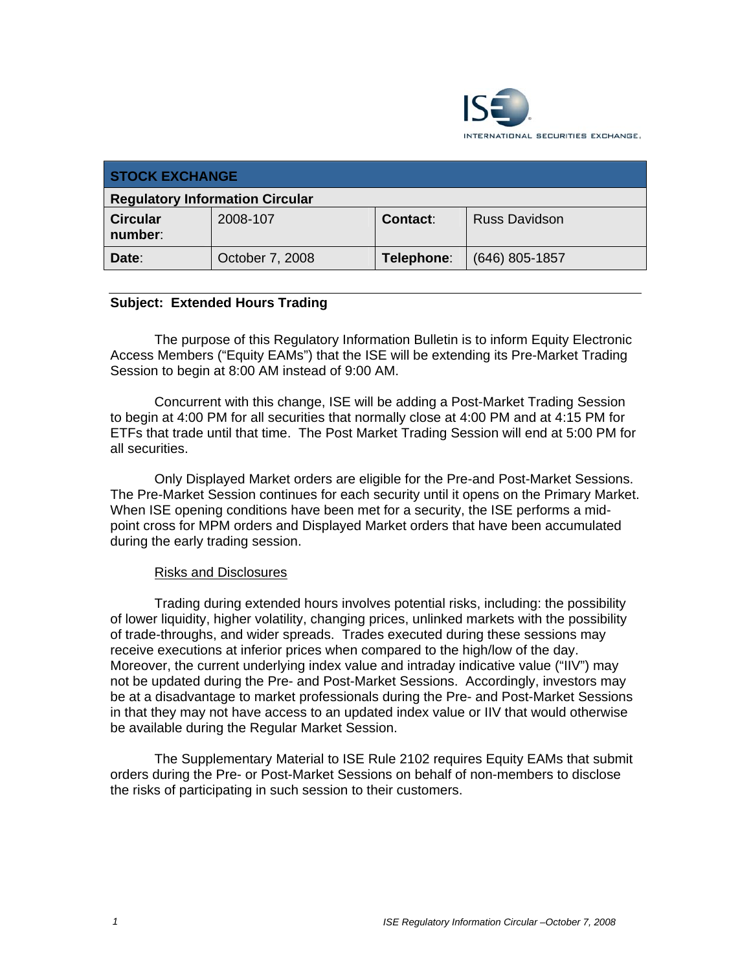

| <b>STOCK EXCHANGE</b>                  |                 |            |                      |
|----------------------------------------|-----------------|------------|----------------------|
| <b>Regulatory Information Circular</b> |                 |            |                      |
| <b>Circular</b><br>number:             | 2008-107        | Contact:   | <b>Russ Davidson</b> |
| Date:                                  | October 7, 2008 | Telephone: | $(646)$ 805-1857     |

## **Subject: Extended Hours Trading**

The purpose of this Regulatory Information Bulletin is to inform Equity Electronic Access Members ("Equity EAMs") that the ISE will be extending its Pre-Market Trading Session to begin at 8:00 AM instead of 9:00 AM.

Concurrent with this change, ISE will be adding a Post-Market Trading Session to begin at 4:00 PM for all securities that normally close at 4:00 PM and at 4:15 PM for ETFs that trade until that time. The Post Market Trading Session will end at 5:00 PM for all securities.

Only Displayed Market orders are eligible for the Pre-and Post-Market Sessions. The Pre-Market Session continues for each security until it opens on the Primary Market. When ISE opening conditions have been met for a security, the ISE performs a midpoint cross for MPM orders and Displayed Market orders that have been accumulated during the early trading session.

## Risks and Disclosures

Trading during extended hours involves potential risks, including: the possibility of lower liquidity, higher volatility, changing prices, unlinked markets with the possibility of trade-throughs, and wider spreads. Trades executed during these sessions may receive executions at inferior prices when compared to the high/low of the day. Moreover, the current underlying index value and intraday indicative value ("IIV") may not be updated during the Pre- and Post-Market Sessions. Accordingly, investors may be at a disadvantage to market professionals during the Pre- and Post-Market Sessions in that they may not have access to an updated index value or IIV that would otherwise be available during the Regular Market Session.

The Supplementary Material to ISE Rule 2102 requires Equity EAMs that submit orders during the Pre- or Post-Market Sessions on behalf of non-members to disclose the risks of participating in such session to their customers.